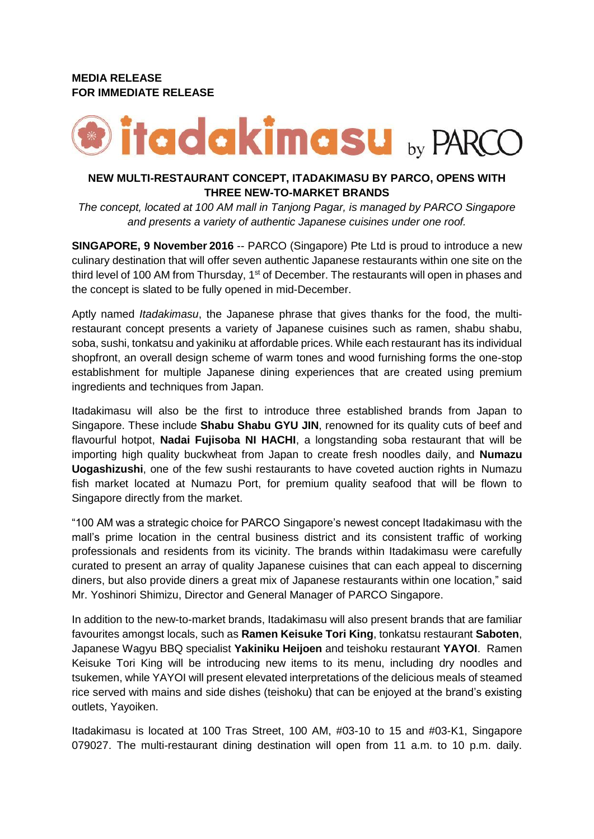# **MEDIA RELEASE FOR IMMEDIATE RELEASE**



## **NEW MULTI-RESTAURANT CONCEPT, ITADAKIMASU BY PARCO, OPENS WITH THREE NEW-TO-MARKET BRANDS**

*The concept, located at 100 AM mall in Tanjong Pagar, is managed by PARCO Singapore and presents a variety of authentic Japanese cuisines under one roof.* 

**SINGAPORE, 9 November 2016** -- PARCO (Singapore) Pte Ltd is proud to introduce a new culinary destination that will offer seven authentic Japanese restaurants within one site on the third level of 100 AM from Thursday,  $1<sup>st</sup>$  of December. The restaurants will open in phases and the concept is slated to be fully opened in mid-December.

Aptly named *Itadakimasu*, the Japanese phrase that gives thanks for the food, the multirestaurant concept presents a variety of Japanese cuisines such as ramen, shabu shabu, soba, sushi, tonkatsu and yakiniku at affordable prices. While each restaurant has its individual shopfront, an overall design scheme of warm tones and wood furnishing forms the one-stop establishment for multiple Japanese dining experiences that are created using premium ingredients and techniques from Japan.

Itadakimasu will also be the first to introduce three established brands from Japan to Singapore. These include **Shabu Shabu GYU JIN**, renowned for its quality cuts of beef and flavourful hotpot, **Nadai Fujisoba NI HACHI**, a longstanding soba restaurant that will be importing high quality buckwheat from Japan to create fresh noodles daily, and **Numazu Uogashizushi**, one of the few sushi restaurants to have coveted auction rights in Numazu fish market located at Numazu Port, for premium quality seafood that will be flown to Singapore directly from the market.

"100 AM was a strategic choice for PARCO Singapore's newest concept Itadakimasu with the mall's prime location in the central business district and its consistent traffic of working professionals and residents from its vicinity. The brands within Itadakimasu were carefully curated to present an array of quality Japanese cuisines that can each appeal to discerning diners, but also provide diners a great mix of Japanese restaurants within one location," said Mr. Yoshinori Shimizu, Director and General Manager of PARCO Singapore.

In addition to the new-to-market brands, Itadakimasu will also present brands that are familiar favourites amongst locals, such as **Ramen Keisuke Tori King**, tonkatsu restaurant **Saboten**, Japanese Wagyu BBQ specialist **Yakiniku Heijoen** and teishoku restaurant **YAYOI**. Ramen Keisuke Tori King will be introducing new items to its menu, including dry noodles and tsukemen, while YAYOI will present elevated interpretations of the delicious meals of steamed rice served with mains and side dishes (teishoku) that can be enjoyed at the brand's existing outlets, Yayoiken.

Itadakimasu is located at 100 Tras Street, 100 AM, #03-10 to 15 and #03-K1, Singapore 079027. The multi-restaurant dining destination will open from 11 a.m. to 10 p.m. daily.